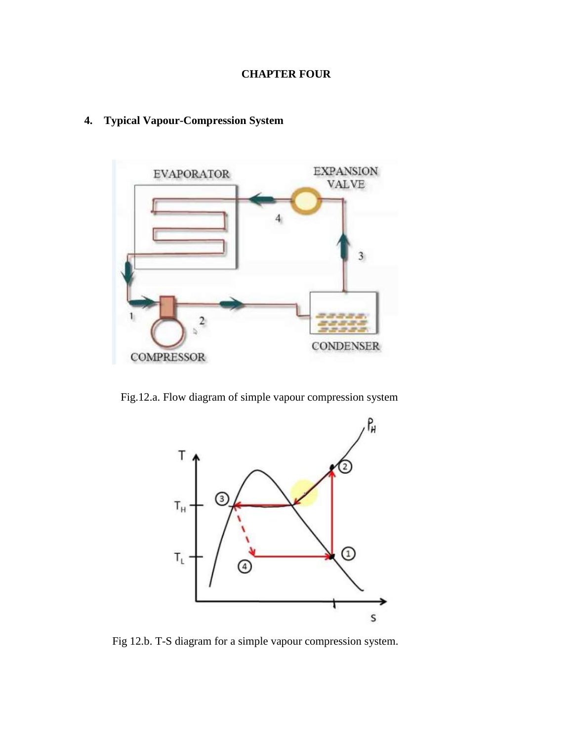# **CHAPTER FOUR**



**4. Typical Vapour-Compression System**

Fig.12.a. Flow diagram of simple vapour compression system



Fig 12.b. T-S diagram for a simple vapour compression system.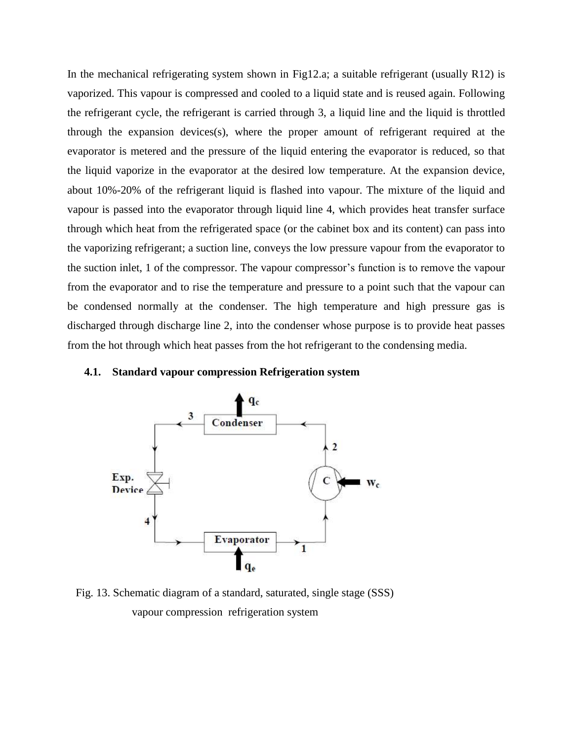In the mechanical refrigerating system shown in Fig12.a; a suitable refrigerant (usually R12) is vaporized. This vapour is compressed and cooled to a liquid state and is reused again. Following the refrigerant cycle, the refrigerant is carried through 3, a liquid line and the liquid is throttled through the expansion devices(s), where the proper amount of refrigerant required at the evaporator is metered and the pressure of the liquid entering the evaporator is reduced, so that the liquid vaporize in the evaporator at the desired low temperature. At the expansion device, about 10%-20% of the refrigerant liquid is flashed into vapour. The mixture of the liquid and vapour is passed into the evaporator through liquid line 4, which provides heat transfer surface through which heat from the refrigerated space (or the cabinet box and its content) can pass into the vaporizing refrigerant; a suction line, conveys the low pressure vapour from the evaporator to the suction inlet, 1 of the compressor. The vapour compressor's function is to remove the vapour from the evaporator and to rise the temperature and pressure to a point such that the vapour can be condensed normally at the condenser. The high temperature and high pressure gas is discharged through discharge line 2, into the condenser whose purpose is to provide heat passes from the hot through which heat passes from the hot refrigerant to the condensing media.

#### **4.1. Standard vapour compression Refrigeration system**



Fig. 13. Schematic diagram of a standard, saturated, single stage (SSS) vapour compression refrigeration system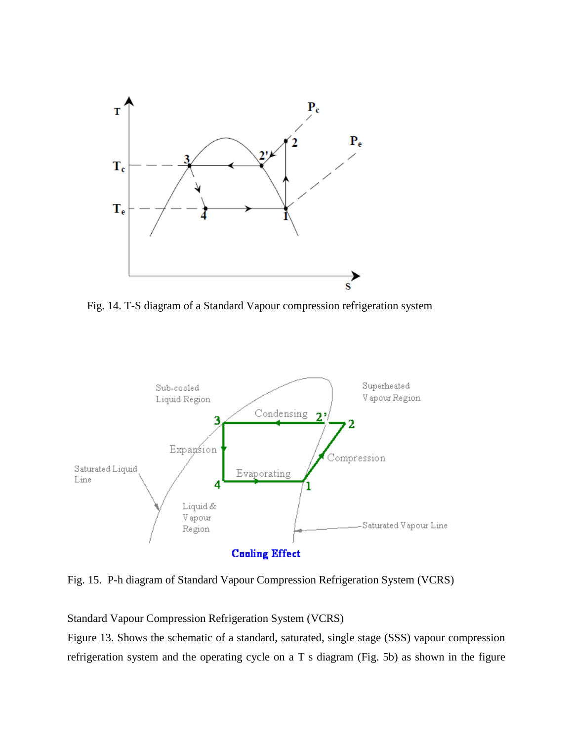

Fig. 14. T-S diagram of a Standard Vapour compression refrigeration system



Fig. 15. P-h diagram of Standard Vapour Compression Refrigeration System (VCRS)

Standard Vapour Compression Refrigeration System (VCRS)

Figure 13. Shows the schematic of a standard, saturated, single stage (SSS) vapour compression refrigeration system and the operating cycle on a T s diagram (Fig. 5b) as shown in the figure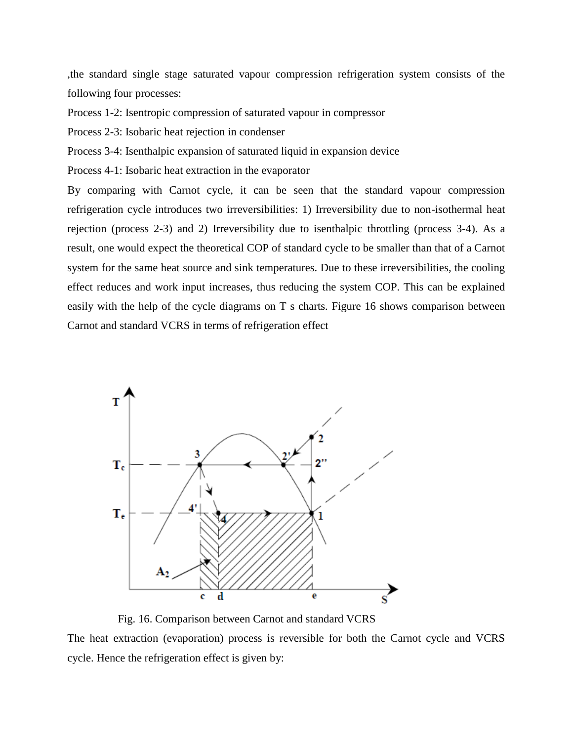,the standard single stage saturated vapour compression refrigeration system consists of the following four processes:

Process 1-2: Isentropic compression of saturated vapour in compressor

Process 2-3: Isobaric heat rejection in condenser

Process 3-4: Isenthalpic expansion of saturated liquid in expansion device

Process 4-1: Isobaric heat extraction in the evaporator

By comparing with Carnot cycle, it can be seen that the standard vapour compression refrigeration cycle introduces two irreversibilities: 1) Irreversibility due to non-isothermal heat rejection (process 2-3) and 2) Irreversibility due to isenthalpic throttling (process 3-4). As a result, one would expect the theoretical COP of standard cycle to be smaller than that of a Carnot system for the same heat source and sink temperatures. Due to these irreversibilities, the cooling effect reduces and work input increases, thus reducing the system COP. This can be explained easily with the help of the cycle diagrams on T s charts. Figure 16 shows comparison between Carnot and standard VCRS in terms of refrigeration effect



Fig. 16. Comparison between Carnot and standard VCRS

The heat extraction (evaporation) process is reversible for both the Carnot cycle and VCRS cycle. Hence the refrigeration effect is given by: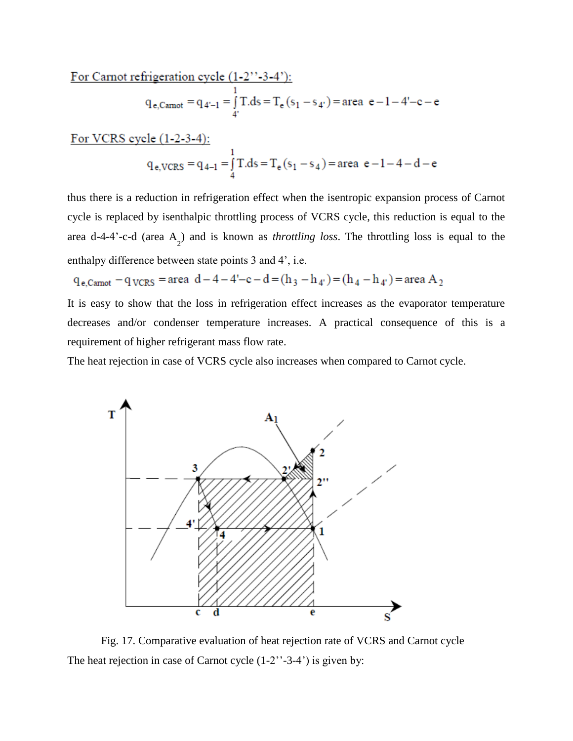For Carnot refrigeration cycle  $(1-2$ <sup>2</sup> $-3-4$ <sup>2</sup>):

$$
q_{e,Camot} = q_{4'-1} = \int_{4'}^{1} T ds = T_e (s_1 - s_{4'}) = area_e e - 1 - 4' - e - e
$$

For VCRS cycle (1-2-3-4):  
\n
$$
q_{e,VCRS} = q_{4-1} = \int_{4}^{1} T ds = T_e (s_1 - s_4) = \text{area } e - 1 - 4 - d - e
$$

thus there is a reduction in refrigeration effect when the isentropic expansion process of Carnot cycle is replaced by isenthalpic throttling process of VCRS cycle, this reduction is equal to the area d-4-4'-c-d (area  $A_2$ ) and is known as *throttling loss*. The throttling loss is equal to the enthalpy difference between state points 3 and 4', i.e.

$$
q_{e,Camot} - q_{VCRS} = area \ d - 4 - 4' - c - d = (h_3 - h_4) = (h_4 - h_4) = area A_2
$$

It is easy to show that the loss in refrigeration effect increases as the evaporator temperature decreases and/or condenser temperature increases. A practical consequence of this is a requirement of higher refrigerant mass flow rate.

The heat rejection in case of VCRS cycle also increases when compared to Carnot cycle.



 Fig. 17. Comparative evaluation of heat rejection rate of VCRS and Carnot cycle The heat rejection in case of Carnot cycle  $(1-2$ "-3-4") is given by: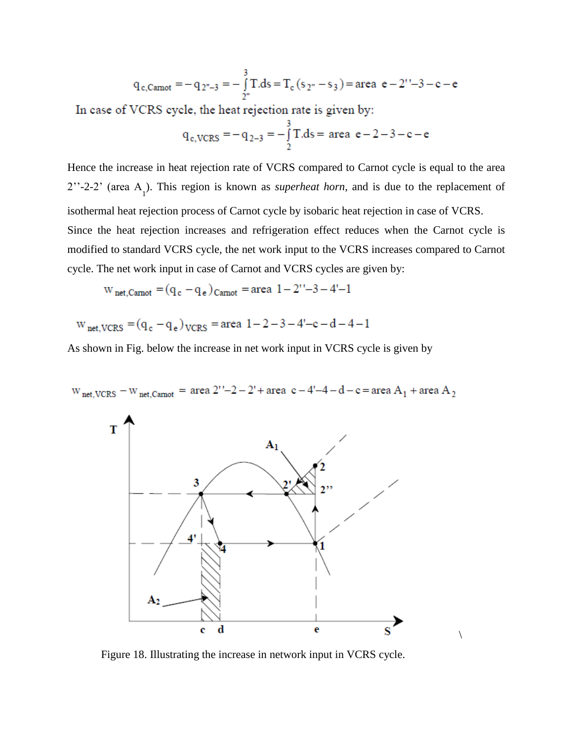$$
q_{c,Camot} = -q_{2^{n}-3} = -\int_{2^{n}}^{3} T \cdot ds = T_{c}(s_{2^{n}} - s_{3}) = \text{area } e - 2^{n}-3 - e - e
$$

In case of VCRS cycle, the heat rejection rate is given by:

$$
q_{c,VCRS} = -q_{2-3} = -\int_{2}^{3} T ds = area e - 2 - 3 - c - e
$$

Hence the increase in heat rejection rate of VCRS compared to Carnot cycle is equal to the area  $2^{\prime\prime}$ -2-2' (area A<sub>1</sub>). This region is known as *superheat horn*, and is due to the replacement of isothermal heat rejection process of Carnot cycle by isobaric heat rejection in case of VCRS. Since the heat rejection increases and refrigeration effect reduces when the Carnot cycle is modified to standard VCRS cycle, the net work input to the VCRS increases compared to Carnot cycle. The net work input in case of Carnot and VCRS cycles are given by:

 $W_{net,Camot} = (q_c - q_e)_{Camot} = area 1 - 2' - 3 - 4' - 1$ 

$$
w_{net,VCRS} = (q_c - q_e)_{VCRS} = area \t1 - 2 - 3 - 4' - c - d - 4 - 1
$$

As shown in Fig. below the increase in net work input in VCRS cycle is given by

T  $A<sub>1</sub>$ 3 4' d Ć e  $\overline{\phantom{0}}$ 

 $W_{net, VCRS}$  –  $W_{net, Carnot}$  = area 2''-2 – 2' + area c – 4'-4 – d – c = area A<sub>1</sub> + area A<sub>2</sub>

Figure 18. Illustrating the increase in network input in VCRS cycle.

 $\setminus$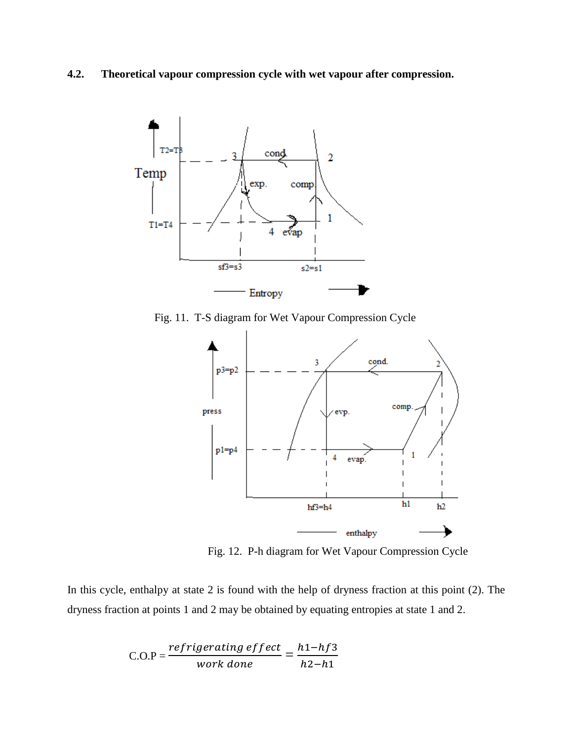**4.2. Theoretical vapour compression cycle with wet vapour after compression.**



Fig. 11. T-S diagram for Wet Vapour Compression Cycle



Fig. 12. P-h diagram for Wet Vapour Compression Cycle

In this cycle, enthalpy at state 2 is found with the help of dryness fraction at this point (2). The dryness fraction at points 1 and 2 may be obtained by equating entropies at state 1 and 2.

$$
\text{C.O.P} = \frac{refrigerating\ effect}{work\ done} = \frac{h1 - hf3}{h2 - h1}
$$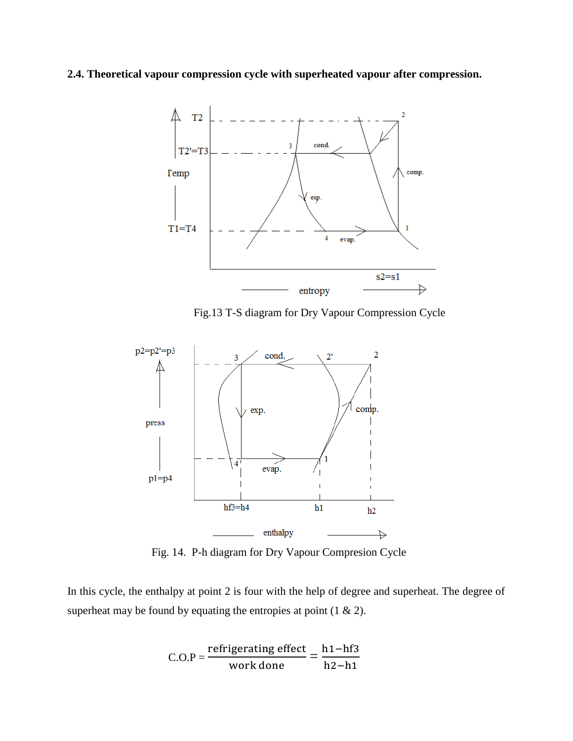**2.4. Theoretical vapour compression cycle with superheated vapour after compression.**



Fig.13 T-S diagram for Dry Vapour Compression Cycle



Fig. 14. P-h diagram for Dry Vapour Compresion Cycle

In this cycle, the enthalpy at point 2 is four with the help of degree and superheat. The degree of superheat may be found by equating the entropies at point  $(1 \& 2)$ .

C.O.P = 
$$
\frac{\text{refrigerating effect}}{\text{work done}} = \frac{\text{h1}-\text{h}7}{\text{h2}-\text{h1}}
$$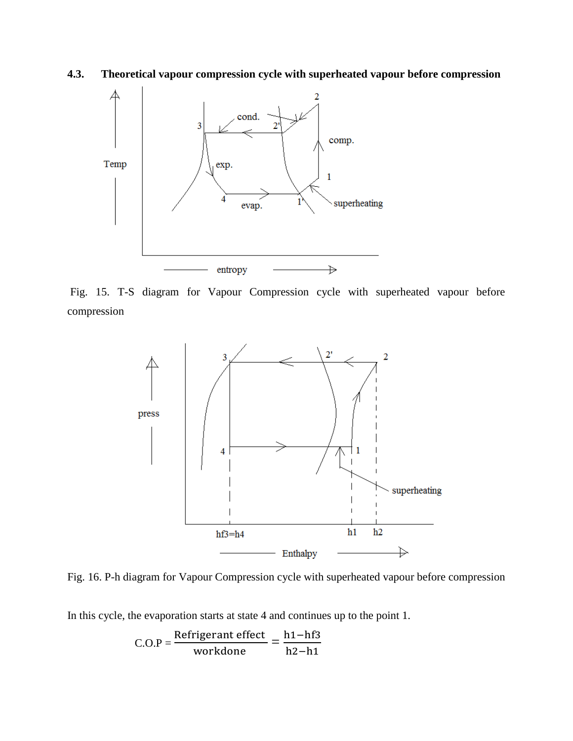

**4.3. Theoretical vapour compression cycle with superheated vapour before compression**

Fig. 15. T-S diagram for Vapour Compression cycle with superheated vapour before compression



Fig. 16. P-h diagram for Vapour Compression cycle with superheated vapour before compression

In this cycle, the evaporation starts at state 4 and continues up to the point 1.

C.O.P = 
$$
\frac{\text{Refrigerant effect}}{\text{workdone}} = \frac{\text{h1}-\text{h}f3}{\text{h2}-\text{h1}}
$$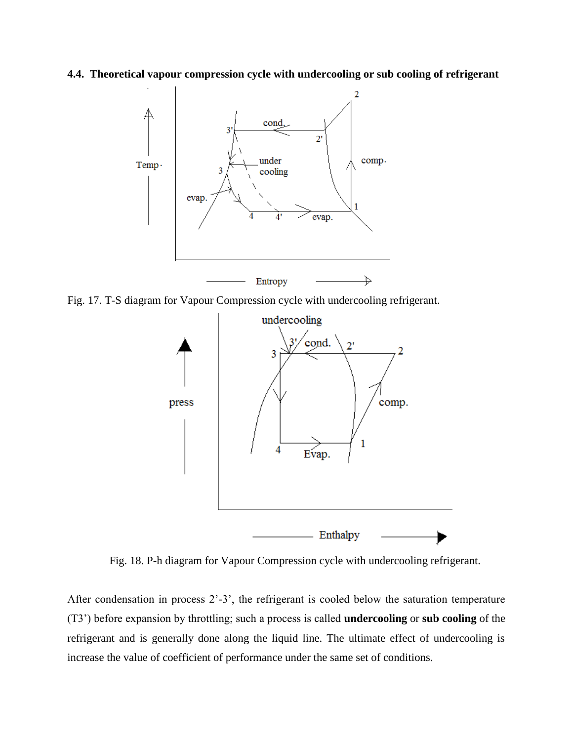**4.4. Theoretical vapour compression cycle with undercooling or sub cooling of refrigerant**



Fig. 17. T-S diagram for Vapour Compression cycle with undercooling refrigerant.



Fig. 18. P-h diagram for Vapour Compression cycle with undercooling refrigerant.

After condensation in process 2'-3', the refrigerant is cooled below the saturation temperature (T3') before expansion by throttling; such a process is called **undercooling** or **sub cooling** of the refrigerant and is generally done along the liquid line. The ultimate effect of undercooling is increase the value of coefficient of performance under the same set of conditions.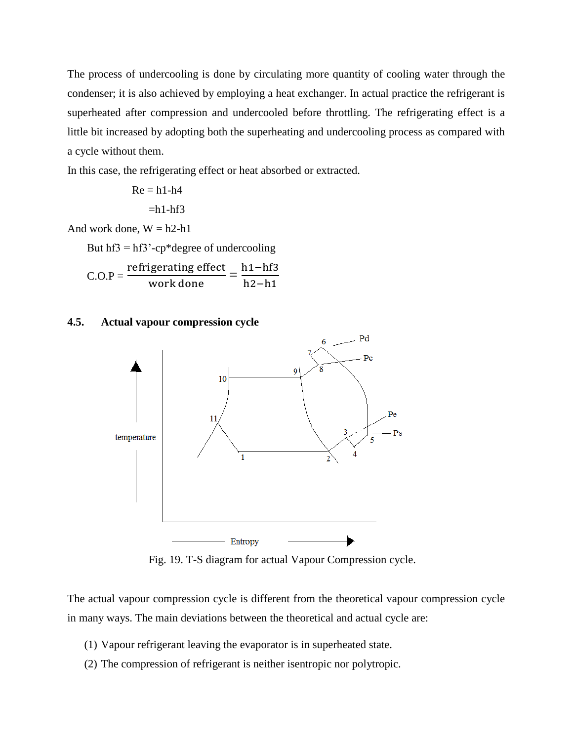The process of undercooling is done by circulating more quantity of cooling water through the condenser; it is also achieved by employing a heat exchanger. In actual practice the refrigerant is superheated after compression and undercooled before throttling. The refrigerating effect is a little bit increased by adopting both the superheating and undercooling process as compared with a cycle without them.

In this case, the refrigerating effect or heat absorbed or extracted.

$$
Re = h1-h4
$$
  
=h1-hf3

And work done,  $W = h2-h1$ 

But  $hf3 = hf3$ '-cp<sup>\*</sup>degree of undercooling

C.O.P = 
$$
\frac{\text{refrigerating effect}}{\text{work done}} = \frac{\text{h1}-\text{h} \cdot \text{h1}}{\text{h2}-\text{h1}}
$$

## **4.5. Actual vapour compression cycle**



Fig. 19. T-S diagram for actual Vapour Compression cycle.

The actual vapour compression cycle is different from the theoretical vapour compression cycle in many ways. The main deviations between the theoretical and actual cycle are:

- (1) Vapour refrigerant leaving the evaporator is in superheated state.
- (2) The compression of refrigerant is neither isentropic nor polytropic.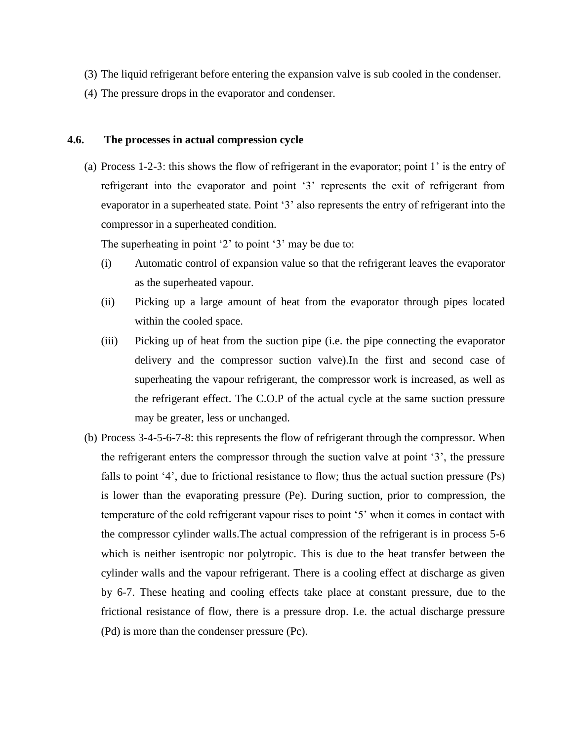- (3) The liquid refrigerant before entering the expansion valve is sub cooled in the condenser.
- (4) The pressure drops in the evaporator and condenser.

#### **4.6. The processes in actual compression cycle**

(a) Process 1-2-3: this shows the flow of refrigerant in the evaporator; point 1' is the entry of refrigerant into the evaporator and point '3' represents the exit of refrigerant from evaporator in a superheated state. Point '3' also represents the entry of refrigerant into the compressor in a superheated condition.

The superheating in point '2' to point '3' may be due to:

- (i) Automatic control of expansion value so that the refrigerant leaves the evaporator as the superheated vapour.
- (ii) Picking up a large amount of heat from the evaporator through pipes located within the cooled space.
- (iii) Picking up of heat from the suction pipe (i.e. the pipe connecting the evaporator delivery and the compressor suction valve).In the first and second case of superheating the vapour refrigerant, the compressor work is increased, as well as the refrigerant effect. The C.O.P of the actual cycle at the same suction pressure may be greater, less or unchanged.
- (b) Process 3-4-5-6-7-8: this represents the flow of refrigerant through the compressor. When the refrigerant enters the compressor through the suction valve at point '3', the pressure falls to point '4', due to frictional resistance to flow; thus the actual suction pressure (Ps) is lower than the evaporating pressure (Pe). During suction, prior to compression, the temperature of the cold refrigerant vapour rises to point '5' when it comes in contact with the compressor cylinder walls.The actual compression of the refrigerant is in process 5-6 which is neither isentropic nor polytropic. This is due to the heat transfer between the cylinder walls and the vapour refrigerant. There is a cooling effect at discharge as given by 6-7. These heating and cooling effects take place at constant pressure, due to the frictional resistance of flow, there is a pressure drop. I.e. the actual discharge pressure (Pd) is more than the condenser pressure (Pc).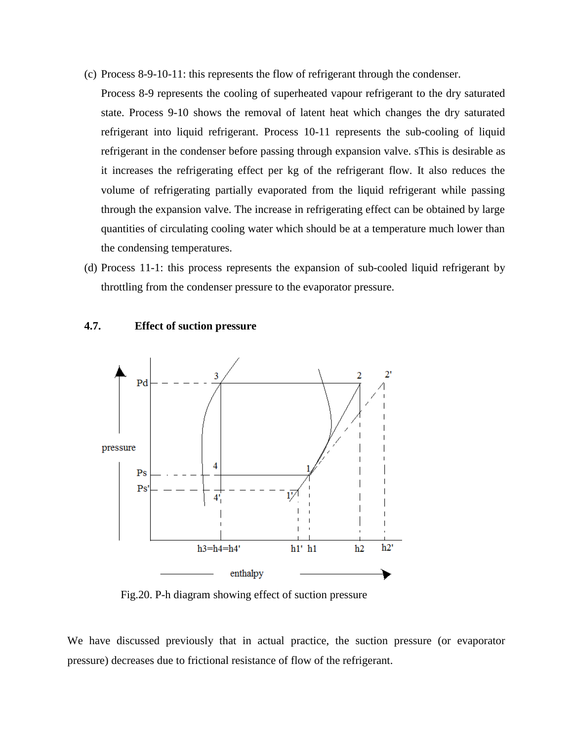- (c) Process 8-9-10-11: this represents the flow of refrigerant through the condenser.
- Process 8-9 represents the cooling of superheated vapour refrigerant to the dry saturated state. Process 9-10 shows the removal of latent heat which changes the dry saturated refrigerant into liquid refrigerant. Process 10-11 represents the sub-cooling of liquid refrigerant in the condenser before passing through expansion valve. sThis is desirable as it increases the refrigerating effect per kg of the refrigerant flow. It also reduces the volume of refrigerating partially evaporated from the liquid refrigerant while passing through the expansion valve. The increase in refrigerating effect can be obtained by large quantities of circulating cooling water which should be at a temperature much lower than the condensing temperatures.
- (d) Process 11-1: this process represents the expansion of sub-cooled liquid refrigerant by throttling from the condenser pressure to the evaporator pressure.

# **4.7. Effect of suction pressure**



Fig.20. P-h diagram showing effect of suction pressure

We have discussed previously that in actual practice, the suction pressure (or evaporator pressure) decreases due to frictional resistance of flow of the refrigerant.